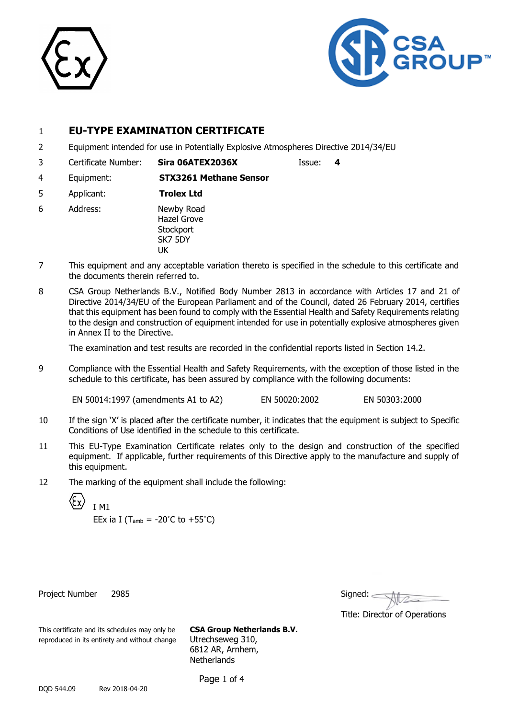



### 1 **EU-TYPE EXAMINATION CERTIFICATE**

- 2 Equipment intended for use in Potentially Explosive Atmospheres Directive 2014/34/EU
- 3 Certificate Number: **Sira 06ATEX2036X** Issue: **4**

- 4 Equipment: **STX3261 Methane Sensor**
- 5 Applicant: **Trolex Ltd**
- 6 Address: Newby Road Hazel Grove **Stockport** SK7 5DY UK
- 7 This equipment and any acceptable variation thereto is specified in the schedule to this certificate and the documents therein referred to.
- 8 CSA Group Netherlands B.V., Notified Body Number 2813 in accordance with Articles 17 and 21 of Directive 2014/34/EU of the European Parliament and of the Council, dated 26 February 2014, certifies that this equipment has been found to comply with the Essential Health and Safety Requirements relating to the design and construction of equipment intended for use in potentially explosive atmospheres given in Annex II to the Directive.

The examination and test results are recorded in the confidential reports listed in Section 14.2.

9 Compliance with the Essential Health and Safety Requirements, with the exception of those listed in the schedule to this certificate, has been assured by compliance with the following documents:

EN 50014:1997 (amendments A1 to A2) EN 50020:2002 EN 50303:2000

- 10 If the sign 'X' is placed after the certificate number, it indicates that the equipment is subject to Specific Conditions of Use identified in the schedule to this certificate.
- 11 This EU-Type Examination Certificate relates only to the design and construction of the specified equipment. If applicable, further requirements of this Directive apply to the manufacture and supply of this equipment.
- 12 The marking of the equipment shall include the following:

I M1

EEx ia I ( $T_{amb} = -20^{\circ}C$  to  $+55^{\circ}C$ )

Project Number 2985

| Signed: |  |  |
|---------|--|--|
|         |  |  |

Title: Director of Operations

This certificate and its schedules may only be **CSA Group Netherlands B.V.** reproduced in its entirety and without change Utrechseweg 310,

6812 AR, Arnhem, **Netherlands** 

Page 1 of 4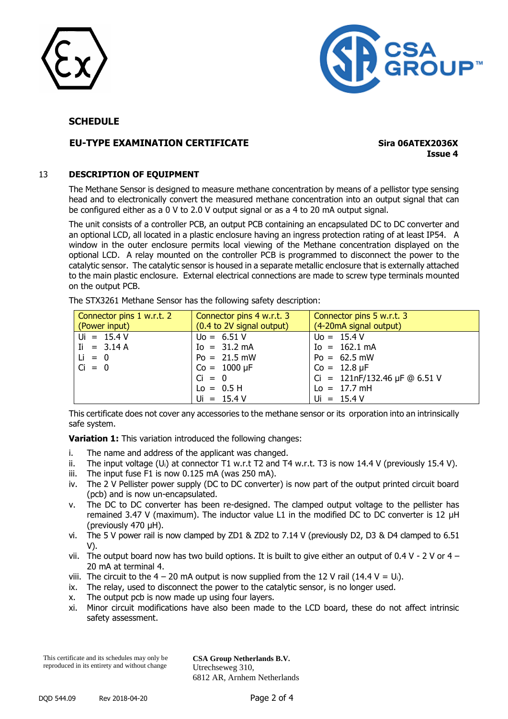



#### **SCHEDULE**

#### **EU-TYPE EXAMINATION CERTIFICATE Sira 06ATEX2036X**

**Issue 4**

#### 13 **DESCRIPTION OF EQUIPMENT**

The Methane Sensor is designed to measure methane concentration by means of a pellistor type sensing head and to electronically convert the measured methane concentration into an output signal that can be configured either as a 0 V to 2.0 V output signal or as a 4 to 20 mA output signal.

The unit consists of a controller PCB, an output PCB containing an encapsulated DC to DC converter and an optional LCD, all located in a plastic enclosure having an ingress protection rating of at least IP54. A window in the outer enclosure permits local viewing of the Methane concentration displayed on the optional LCD. A relay mounted on the controller PCB is programmed to disconnect the power to the catalytic sensor. The catalytic sensor is housed in a separate metallic enclosure that is externally attached to the main plastic enclosure. External electrical connections are made to screw type terminals mounted on the output PCB.

The STX3261 Methane Sensor has the following safety description:

| Connector pins 1 w.r.t. 2<br>(Power input) | Connector pins 4 w.r.t. 3<br>(0.4 to 2V signal output) | Connector pins 5 w.r.t. 3<br>(4-20mA signal output)         |
|--------------------------------------------|--------------------------------------------------------|-------------------------------------------------------------|
| $Ui = 15.4 V$                              | $U_0 = 6.51 V$                                         | $U_0 = 15.4 V$                                              |
| $I = 3.14 A$                               | $Io = 31.2 mA$                                         | $Io = 162.1 mA$                                             |
| $Li = 0$                                   | $Po = 21.5 mW$                                         | $Po = 62.5 mW$                                              |
| $Ci = 0$                                   | $Co = 1000 \mu F$                                      | $Co = 12.8 \,\mu F$                                         |
|                                            | $Ci = 0$                                               | Ci = $121nF/132.46 \,\mu F \textcircled{a} 6.51 \,\text{V}$ |
|                                            | $Lo = 0.5 H$                                           | $Lo = 17.7 \, mH$                                           |
|                                            | $Ui = 15.4 V$                                          | $Ui = 15.4 V$                                               |

This certificate does not cover any accessories to the methane sensor or its orporation into an intrinsically safe system.

**Variation 1:** This variation introduced the following changes:

- i. The name and address of the applicant was changed.
- ii. The input voltage (U<sub>i</sub>) at connector T1 w.r.t T2 and T4 w.r.t. T3 is now 14.4 V (previously 15.4 V).
- iii. The input fuse F1 is now 0.125 mA (was 250 mA).
- iv. The 2 V Pellister power supply (DC to DC converter) is now part of the output printed circuit board (pcb) and is now un-encapsulated.
- v. The DC to DC converter has been re-designed. The clamped output voltage to the pellister has remained 3.47 V (maximum). The inductor value L1 in the modified DC to DC converter is 12 μH (previously 470 μH).
- vi. The 5 V power rail is now clamped by ZD1 & ZD2 to 7.14 V (previously D2, D3 & D4 clamped to 6.51 V).
- vii. The output board now has two build options. It is built to give either an output of 0.4 V 2 V or 4 20 mA at terminal 4.
- viii. The circuit to the  $4 20$  mA output is now supplied from the 12 V rail (14.4 V = U<sub>i</sub>).
- ix. The relay, used to disconnect the power to the catalytic sensor, is no longer used.
- x. The output pcb is now made up using four layers.
- xi. Minor circuit modifications have also been made to the LCD board, these do not affect intrinsic safety assessment.

This certificate and its schedules may only be reproduced in its entirety and without change

**CSA Group Netherlands B.V.** Utrechseweg 310, 6812 AR, Arnhem Netherlands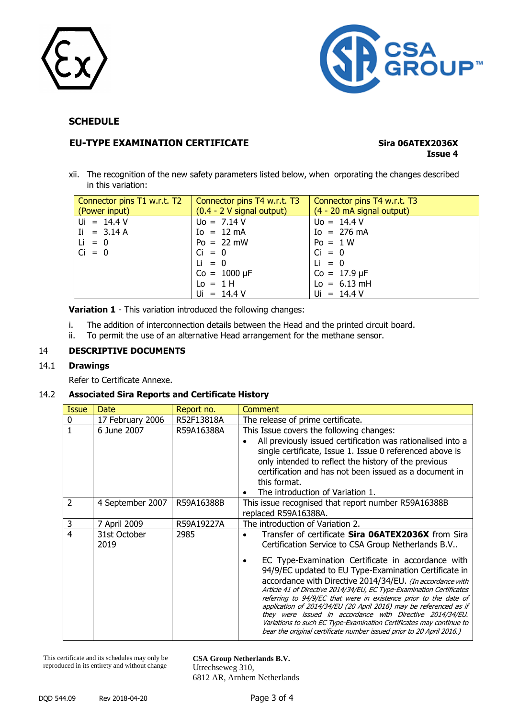



#### **SCHEDULE**

#### **EU-TYPE EXAMINATION CERTIFICATE Sira 06ATEX2036X**

# **Issue 4**

xii. The recognition of the new safety parameters listed below, when orporating the changes described in this variation:

| Connector pins T1 w.r.t. T2<br>(Power input) | Connector pins T4 w.r.t. T3<br>$(0.4 - 2 V)$ signal output) | Connector pins T4 w.r.t. T3<br>(4 - 20 mA signal output) |
|----------------------------------------------|-------------------------------------------------------------|----------------------------------------------------------|
| $Ui = 14.4 V$                                | $U_0 = 7.14 V$                                              | $Uo = 14.4 V$                                            |
| $I = 3.14 A$                                 | $Io = 12 mA$                                                | $I_0 = 276 \text{ mA}$                                   |
| $Li = 0$                                     | $Po = 22 mW$                                                | $Po = 1 W$                                               |
| $Ci = 0$                                     | $Ci = 0$                                                    | $Ci = 0$                                                 |
|                                              | $Li = 0$                                                    | $Li = 0$                                                 |
|                                              | $Co = 1000 \mu F$                                           | $Co = 17.9 \,\mu F$                                      |
|                                              | $Lo = 1H$                                                   | $Lo = 6.13$ mH                                           |
|                                              | $Ui = 14.4 V$                                               | $Ui = 14.4 V$                                            |

**Variation 1** - This variation introduced the following changes:

- i. The addition of interconnection details between the Head and the printed circuit board.
- ii. To permit the use of an alternative Head arrangement for the methane sensor.

#### 14 **DESCRIPTIVE DOCUMENTS**

#### 14.1 **Drawings**

Refer to Certificate Annexe.

#### 14.2 **Associated Sira Reports and Certificate History**

| <b>Issue</b>   | Date                 | Report no. | Comment                                                                                                                                                                                                                                                                                                                                                                                                                                                                                                                                                                                                                                                                                                           |
|----------------|----------------------|------------|-------------------------------------------------------------------------------------------------------------------------------------------------------------------------------------------------------------------------------------------------------------------------------------------------------------------------------------------------------------------------------------------------------------------------------------------------------------------------------------------------------------------------------------------------------------------------------------------------------------------------------------------------------------------------------------------------------------------|
| 0              | 17 February 2006     | R52F13818A | The release of prime certificate.                                                                                                                                                                                                                                                                                                                                                                                                                                                                                                                                                                                                                                                                                 |
|                | 6 June 2007          | R59A16388A | This Issue covers the following changes:<br>All previously issued certification was rationalised into a<br>single certificate, Issue 1. Issue 0 referenced above is<br>only intended to reflect the history of the previous<br>certification and has not been issued as a document in<br>this format.<br>The introduction of Variation 1.                                                                                                                                                                                                                                                                                                                                                                         |
| $\overline{2}$ | 4 September 2007     | R59A16388B | This issue recognised that report number R59A16388B<br>replaced R59A16388A.                                                                                                                                                                                                                                                                                                                                                                                                                                                                                                                                                                                                                                       |
| 3              | 7 April 2009         | R59A19227A | The introduction of Variation 2.                                                                                                                                                                                                                                                                                                                                                                                                                                                                                                                                                                                                                                                                                  |
| 4              | 31st October<br>2019 | 2985       | Transfer of certificate Sira 06ATEX2036X from Sira<br>Certification Service to CSA Group Netherlands B.V<br>EC Type-Examination Certificate in accordance with<br>94/9/EC updated to EU Type-Examination Certificate in<br>accordance with Directive 2014/34/EU. (In accordance with<br>Article 41 of Directive 2014/34/EU, EC Type-Examination Certificates<br>referring to 94/9/EC that were in existence prior to the date of<br>application of 2014/34/EU (20 April 2016) may be referenced as if<br>they were issued in accordance with Directive 2014/34/EU.<br>Variations to such EC Type-Examination Certificates may continue to<br>bear the original certificate number issued prior to 20 April 2016.) |

This certificate and its schedules may only be reproduced in its entirety and without change

**CSA Group Netherlands B.V.** Utrechseweg 310, 6812 AR, Arnhem Netherlands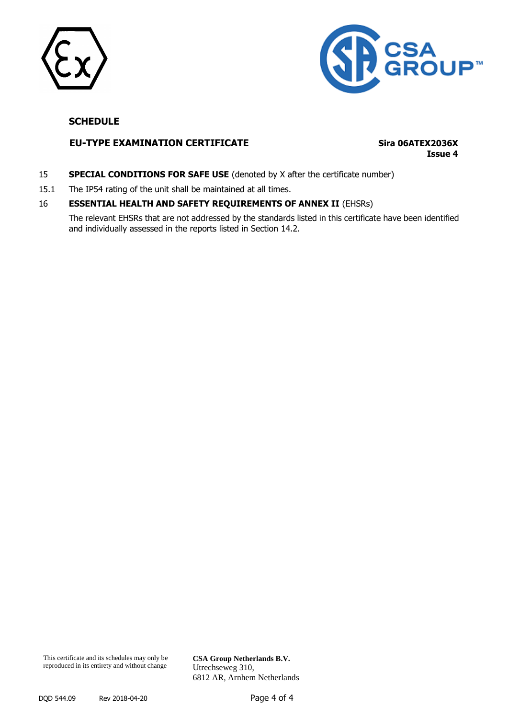



#### **SCHEDULE**

#### **EU-TYPE EXAMINATION CERTIFICATE Sira 06ATEX2036X**

**Issue 4**

- 15 **SPECIAL CONDITIONS FOR SAFE USE** (denoted by X after the certificate number)
- 15.1 The IP54 rating of the unit shall be maintained at all times.

#### 16 **ESSENTIAL HEALTH AND SAFETY REQUIREMENTS OF ANNEX II** (EHSRs)

The relevant EHSRs that are not addressed by the standards listed in this certificate have been identified and individually assessed in the reports listed in Section 14.2.

**CSA Group Netherlands B.V.** Utrechseweg 310, 6812 AR, Arnhem Netherlands